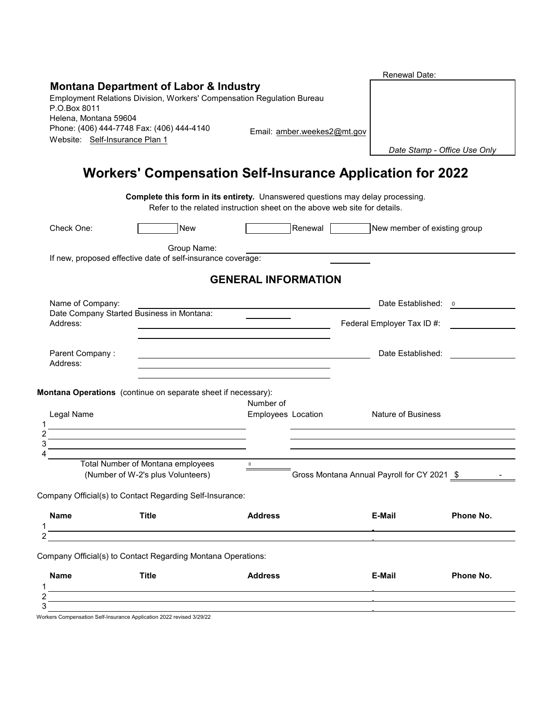| <b>Montana Department of Labor &amp; Industry</b><br>Employment Relations Division, Workers' Compensation Regulation Bureau<br>Helena, Montana 59604<br>Phone: (406) 444-7748 Fax: (406) 444-4140<br>Email: amber.weekes2@mt.gov<br>Website: Self-Insurance Plan 1<br>Date Stamp - Office Use Only<br><b>Workers' Compensation Self-Insurance Application for 2022</b><br>Complete this form in its entirety. Unanswered questions may delay processing.<br>Refer to the related instruction sheet on the above web site for details.<br>Check One:<br><b>New</b><br>Renewal<br>New member of existing group<br>Group Name:<br>If new, proposed effective date of self-insurance coverage:<br><b>GENERAL INFORMATION</b><br>Name of Company:<br>Date Established: 0<br>Date Company Started Business in Montana:<br>Address:<br>Federal Employer Tax ID #:<br>Date Established:<br>Parent Company:<br>Address:<br>Montana Operations (continue on separate sheet if necessary):<br>Number of<br>Legal Name<br>Employees Location<br><b>Nature of Business</b><br><u> 1989 - Johann Barnett, fransk politik (d. 1989)</u><br><u> 1989 - Johann Stein, mars an deus Amerikaansk kommunister (</u><br><u> 1989 - Johann Stein, marwolaethau a bhann an t-Albann an t-Albann an t-Albann an t-Albann an t-Albann an t-Alb</u><br>Total Number of Montana employees<br>$\mathbf 0$<br>(Number of W-2's plus Volunteers)<br>Gross Montana Annual Payroll for CY 2021 \$<br>Company Official(s) to Contact Regarding Self-Insurance:<br><b>Name</b><br>Phone No.<br><b>Title</b><br><b>Address</b><br>E-Mail<br><u> 1989 - Johann Stoff, deutscher Stoffen und der Stoffen und der Stoffen und der Stoffen und der Stoffen und der</u><br>Company Official(s) to Contact Regarding Montana Operations:<br>Name<br><b>Title</b><br><b>Address</b><br>E-Mail<br>Phone No. |              |  | Renewal Date: |  |
|------------------------------------------------------------------------------------------------------------------------------------------------------------------------------------------------------------------------------------------------------------------------------------------------------------------------------------------------------------------------------------------------------------------------------------------------------------------------------------------------------------------------------------------------------------------------------------------------------------------------------------------------------------------------------------------------------------------------------------------------------------------------------------------------------------------------------------------------------------------------------------------------------------------------------------------------------------------------------------------------------------------------------------------------------------------------------------------------------------------------------------------------------------------------------------------------------------------------------------------------------------------------------------------------------------------------------------------------------------------------------------------------------------------------------------------------------------------------------------------------------------------------------------------------------------------------------------------------------------------------------------------------------------------------------------------------------------------------------------------------------------------------------------------------------------------------------------------------------------------|--------------|--|---------------|--|
|                                                                                                                                                                                                                                                                                                                                                                                                                                                                                                                                                                                                                                                                                                                                                                                                                                                                                                                                                                                                                                                                                                                                                                                                                                                                                                                                                                                                                                                                                                                                                                                                                                                                                                                                                                                                                                                                  |              |  |               |  |
|                                                                                                                                                                                                                                                                                                                                                                                                                                                                                                                                                                                                                                                                                                                                                                                                                                                                                                                                                                                                                                                                                                                                                                                                                                                                                                                                                                                                                                                                                                                                                                                                                                                                                                                                                                                                                                                                  |              |  |               |  |
|                                                                                                                                                                                                                                                                                                                                                                                                                                                                                                                                                                                                                                                                                                                                                                                                                                                                                                                                                                                                                                                                                                                                                                                                                                                                                                                                                                                                                                                                                                                                                                                                                                                                                                                                                                                                                                                                  | P.O.Box 8011 |  |               |  |
|                                                                                                                                                                                                                                                                                                                                                                                                                                                                                                                                                                                                                                                                                                                                                                                                                                                                                                                                                                                                                                                                                                                                                                                                                                                                                                                                                                                                                                                                                                                                                                                                                                                                                                                                                                                                                                                                  |              |  |               |  |
|                                                                                                                                                                                                                                                                                                                                                                                                                                                                                                                                                                                                                                                                                                                                                                                                                                                                                                                                                                                                                                                                                                                                                                                                                                                                                                                                                                                                                                                                                                                                                                                                                                                                                                                                                                                                                                                                  |              |  |               |  |
|                                                                                                                                                                                                                                                                                                                                                                                                                                                                                                                                                                                                                                                                                                                                                                                                                                                                                                                                                                                                                                                                                                                                                                                                                                                                                                                                                                                                                                                                                                                                                                                                                                                                                                                                                                                                                                                                  |              |  |               |  |
|                                                                                                                                                                                                                                                                                                                                                                                                                                                                                                                                                                                                                                                                                                                                                                                                                                                                                                                                                                                                                                                                                                                                                                                                                                                                                                                                                                                                                                                                                                                                                                                                                                                                                                                                                                                                                                                                  |              |  |               |  |
|                                                                                                                                                                                                                                                                                                                                                                                                                                                                                                                                                                                                                                                                                                                                                                                                                                                                                                                                                                                                                                                                                                                                                                                                                                                                                                                                                                                                                                                                                                                                                                                                                                                                                                                                                                                                                                                                  |              |  |               |  |
|                                                                                                                                                                                                                                                                                                                                                                                                                                                                                                                                                                                                                                                                                                                                                                                                                                                                                                                                                                                                                                                                                                                                                                                                                                                                                                                                                                                                                                                                                                                                                                                                                                                                                                                                                                                                                                                                  |              |  |               |  |
|                                                                                                                                                                                                                                                                                                                                                                                                                                                                                                                                                                                                                                                                                                                                                                                                                                                                                                                                                                                                                                                                                                                                                                                                                                                                                                                                                                                                                                                                                                                                                                                                                                                                                                                                                                                                                                                                  |              |  |               |  |
|                                                                                                                                                                                                                                                                                                                                                                                                                                                                                                                                                                                                                                                                                                                                                                                                                                                                                                                                                                                                                                                                                                                                                                                                                                                                                                                                                                                                                                                                                                                                                                                                                                                                                                                                                                                                                                                                  |              |  |               |  |
|                                                                                                                                                                                                                                                                                                                                                                                                                                                                                                                                                                                                                                                                                                                                                                                                                                                                                                                                                                                                                                                                                                                                                                                                                                                                                                                                                                                                                                                                                                                                                                                                                                                                                                                                                                                                                                                                  |              |  |               |  |
|                                                                                                                                                                                                                                                                                                                                                                                                                                                                                                                                                                                                                                                                                                                                                                                                                                                                                                                                                                                                                                                                                                                                                                                                                                                                                                                                                                                                                                                                                                                                                                                                                                                                                                                                                                                                                                                                  |              |  |               |  |
|                                                                                                                                                                                                                                                                                                                                                                                                                                                                                                                                                                                                                                                                                                                                                                                                                                                                                                                                                                                                                                                                                                                                                                                                                                                                                                                                                                                                                                                                                                                                                                                                                                                                                                                                                                                                                                                                  |              |  |               |  |
|                                                                                                                                                                                                                                                                                                                                                                                                                                                                                                                                                                                                                                                                                                                                                                                                                                                                                                                                                                                                                                                                                                                                                                                                                                                                                                                                                                                                                                                                                                                                                                                                                                                                                                                                                                                                                                                                  |              |  |               |  |
|                                                                                                                                                                                                                                                                                                                                                                                                                                                                                                                                                                                                                                                                                                                                                                                                                                                                                                                                                                                                                                                                                                                                                                                                                                                                                                                                                                                                                                                                                                                                                                                                                                                                                                                                                                                                                                                                  |              |  |               |  |
|                                                                                                                                                                                                                                                                                                                                                                                                                                                                                                                                                                                                                                                                                                                                                                                                                                                                                                                                                                                                                                                                                                                                                                                                                                                                                                                                                                                                                                                                                                                                                                                                                                                                                                                                                                                                                                                                  |              |  |               |  |
|                                                                                                                                                                                                                                                                                                                                                                                                                                                                                                                                                                                                                                                                                                                                                                                                                                                                                                                                                                                                                                                                                                                                                                                                                                                                                                                                                                                                                                                                                                                                                                                                                                                                                                                                                                                                                                                                  |              |  |               |  |
|                                                                                                                                                                                                                                                                                                                                                                                                                                                                                                                                                                                                                                                                                                                                                                                                                                                                                                                                                                                                                                                                                                                                                                                                                                                                                                                                                                                                                                                                                                                                                                                                                                                                                                                                                                                                                                                                  |              |  |               |  |
|                                                                                                                                                                                                                                                                                                                                                                                                                                                                                                                                                                                                                                                                                                                                                                                                                                                                                                                                                                                                                                                                                                                                                                                                                                                                                                                                                                                                                                                                                                                                                                                                                                                                                                                                                                                                                                                                  |              |  |               |  |
|                                                                                                                                                                                                                                                                                                                                                                                                                                                                                                                                                                                                                                                                                                                                                                                                                                                                                                                                                                                                                                                                                                                                                                                                                                                                                                                                                                                                                                                                                                                                                                                                                                                                                                                                                                                                                                                                  |              |  |               |  |
|                                                                                                                                                                                                                                                                                                                                                                                                                                                                                                                                                                                                                                                                                                                                                                                                                                                                                                                                                                                                                                                                                                                                                                                                                                                                                                                                                                                                                                                                                                                                                                                                                                                                                                                                                                                                                                                                  |              |  |               |  |
|                                                                                                                                                                                                                                                                                                                                                                                                                                                                                                                                                                                                                                                                                                                                                                                                                                                                                                                                                                                                                                                                                                                                                                                                                                                                                                                                                                                                                                                                                                                                                                                                                                                                                                                                                                                                                                                                  |              |  |               |  |
|                                                                                                                                                                                                                                                                                                                                                                                                                                                                                                                                                                                                                                                                                                                                                                                                                                                                                                                                                                                                                                                                                                                                                                                                                                                                                                                                                                                                                                                                                                                                                                                                                                                                                                                                                                                                                                                                  |              |  |               |  |
|                                                                                                                                                                                                                                                                                                                                                                                                                                                                                                                                                                                                                                                                                                                                                                                                                                                                                                                                                                                                                                                                                                                                                                                                                                                                                                                                                                                                                                                                                                                                                                                                                                                                                                                                                                                                                                                                  |              |  |               |  |
|                                                                                                                                                                                                                                                                                                                                                                                                                                                                                                                                                                                                                                                                                                                                                                                                                                                                                                                                                                                                                                                                                                                                                                                                                                                                                                                                                                                                                                                                                                                                                                                                                                                                                                                                                                                                                                                                  |              |  |               |  |
|                                                                                                                                                                                                                                                                                                                                                                                                                                                                                                                                                                                                                                                                                                                                                                                                                                                                                                                                                                                                                                                                                                                                                                                                                                                                                                                                                                                                                                                                                                                                                                                                                                                                                                                                                                                                                                                                  |              |  |               |  |
|                                                                                                                                                                                                                                                                                                                                                                                                                                                                                                                                                                                                                                                                                                                                                                                                                                                                                                                                                                                                                                                                                                                                                                                                                                                                                                                                                                                                                                                                                                                                                                                                                                                                                                                                                                                                                                                                  |              |  |               |  |
|                                                                                                                                                                                                                                                                                                                                                                                                                                                                                                                                                                                                                                                                                                                                                                                                                                                                                                                                                                                                                                                                                                                                                                                                                                                                                                                                                                                                                                                                                                                                                                                                                                                                                                                                                                                                                                                                  |              |  |               |  |
|                                                                                                                                                                                                                                                                                                                                                                                                                                                                                                                                                                                                                                                                                                                                                                                                                                                                                                                                                                                                                                                                                                                                                                                                                                                                                                                                                                                                                                                                                                                                                                                                                                                                                                                                                                                                                                                                  |              |  |               |  |
|                                                                                                                                                                                                                                                                                                                                                                                                                                                                                                                                                                                                                                                                                                                                                                                                                                                                                                                                                                                                                                                                                                                                                                                                                                                                                                                                                                                                                                                                                                                                                                                                                                                                                                                                                                                                                                                                  |              |  |               |  |
|                                                                                                                                                                                                                                                                                                                                                                                                                                                                                                                                                                                                                                                                                                                                                                                                                                                                                                                                                                                                                                                                                                                                                                                                                                                                                                                                                                                                                                                                                                                                                                                                                                                                                                                                                                                                                                                                  |              |  |               |  |
|                                                                                                                                                                                                                                                                                                                                                                                                                                                                                                                                                                                                                                                                                                                                                                                                                                                                                                                                                                                                                                                                                                                                                                                                                                                                                                                                                                                                                                                                                                                                                                                                                                                                                                                                                                                                                                                                  |              |  |               |  |
|                                                                                                                                                                                                                                                                                                                                                                                                                                                                                                                                                                                                                                                                                                                                                                                                                                                                                                                                                                                                                                                                                                                                                                                                                                                                                                                                                                                                                                                                                                                                                                                                                                                                                                                                                                                                                                                                  |              |  |               |  |
|                                                                                                                                                                                                                                                                                                                                                                                                                                                                                                                                                                                                                                                                                                                                                                                                                                                                                                                                                                                                                                                                                                                                                                                                                                                                                                                                                                                                                                                                                                                                                                                                                                                                                                                                                                                                                                                                  |              |  |               |  |
|                                                                                                                                                                                                                                                                                                                                                                                                                                                                                                                                                                                                                                                                                                                                                                                                                                                                                                                                                                                                                                                                                                                                                                                                                                                                                                                                                                                                                                                                                                                                                                                                                                                                                                                                                                                                                                                                  |              |  |               |  |
|                                                                                                                                                                                                                                                                                                                                                                                                                                                                                                                                                                                                                                                                                                                                                                                                                                                                                                                                                                                                                                                                                                                                                                                                                                                                                                                                                                                                                                                                                                                                                                                                                                                                                                                                                                                                                                                                  |              |  |               |  |
|                                                                                                                                                                                                                                                                                                                                                                                                                                                                                                                                                                                                                                                                                                                                                                                                                                                                                                                                                                                                                                                                                                                                                                                                                                                                                                                                                                                                                                                                                                                                                                                                                                                                                                                                                                                                                                                                  |              |  |               |  |
|                                                                                                                                                                                                                                                                                                                                                                                                                                                                                                                                                                                                                                                                                                                                                                                                                                                                                                                                                                                                                                                                                                                                                                                                                                                                                                                                                                                                                                                                                                                                                                                                                                                                                                                                                                                                                                                                  |              |  |               |  |
|                                                                                                                                                                                                                                                                                                                                                                                                                                                                                                                                                                                                                                                                                                                                                                                                                                                                                                                                                                                                                                                                                                                                                                                                                                                                                                                                                                                                                                                                                                                                                                                                                                                                                                                                                                                                                                                                  |              |  |               |  |
|                                                                                                                                                                                                                                                                                                                                                                                                                                                                                                                                                                                                                                                                                                                                                                                                                                                                                                                                                                                                                                                                                                                                                                                                                                                                                                                                                                                                                                                                                                                                                                                                                                                                                                                                                                                                                                                                  |              |  |               |  |
|                                                                                                                                                                                                                                                                                                                                                                                                                                                                                                                                                                                                                                                                                                                                                                                                                                                                                                                                                                                                                                                                                                                                                                                                                                                                                                                                                                                                                                                                                                                                                                                                                                                                                                                                                                                                                                                                  |              |  |               |  |
|                                                                                                                                                                                                                                                                                                                                                                                                                                                                                                                                                                                                                                                                                                                                                                                                                                                                                                                                                                                                                                                                                                                                                                                                                                                                                                                                                                                                                                                                                                                                                                                                                                                                                                                                                                                                                                                                  |              |  |               |  |
|                                                                                                                                                                                                                                                                                                                                                                                                                                                                                                                                                                                                                                                                                                                                                                                                                                                                                                                                                                                                                                                                                                                                                                                                                                                                                                                                                                                                                                                                                                                                                                                                                                                                                                                                                                                                                                                                  |              |  |               |  |
|                                                                                                                                                                                                                                                                                                                                                                                                                                                                                                                                                                                                                                                                                                                                                                                                                                                                                                                                                                                                                                                                                                                                                                                                                                                                                                                                                                                                                                                                                                                                                                                                                                                                                                                                                                                                                                                                  |              |  |               |  |
|                                                                                                                                                                                                                                                                                                                                                                                                                                                                                                                                                                                                                                                                                                                                                                                                                                                                                                                                                                                                                                                                                                                                                                                                                                                                                                                                                                                                                                                                                                                                                                                                                                                                                                                                                                                                                                                                  |              |  |               |  |
|                                                                                                                                                                                                                                                                                                                                                                                                                                                                                                                                                                                                                                                                                                                                                                                                                                                                                                                                                                                                                                                                                                                                                                                                                                                                                                                                                                                                                                                                                                                                                                                                                                                                                                                                                                                                                                                                  |              |  |               |  |
|                                                                                                                                                                                                                                                                                                                                                                                                                                                                                                                                                                                                                                                                                                                                                                                                                                                                                                                                                                                                                                                                                                                                                                                                                                                                                                                                                                                                                                                                                                                                                                                                                                                                                                                                                                                                                                                                  |              |  |               |  |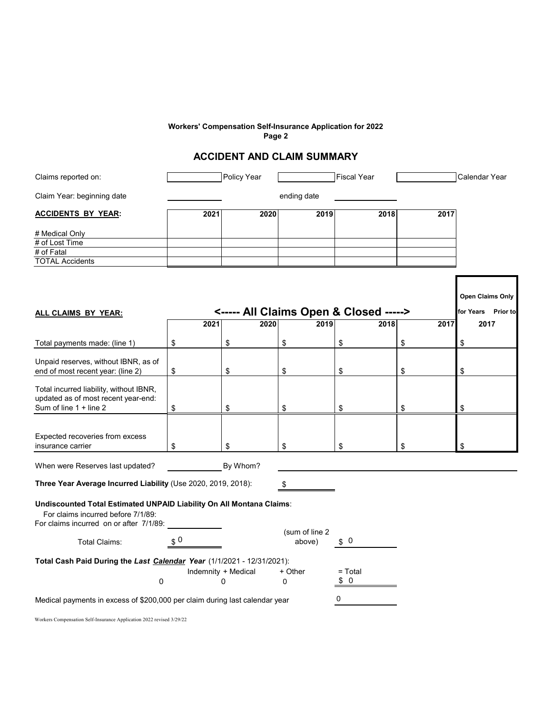#### **Workers' Compensation Self-Insurance Application for 2022 Page 2**

## **ACCIDENT AND CLAIM SUMMARY**

| Claims reported on:                  |      | Policy Year |             | <b>Fiscal Year</b> |      | Calendar Year |
|--------------------------------------|------|-------------|-------------|--------------------|------|---------------|
| Claim Year: beginning date           |      |             | ending date |                    |      |               |
| <b>ACCIDENTS BY YEAR:</b>            | 2021 | 2020        | 2019        | 2018               | 2017 |               |
| # Medical Only<br># of Lost Time     |      |             |             |                    |      |               |
| # of Fatal<br><b>TOTAL Accidents</b> |      |             |             |                    |      |               |
|                                      |      |             |             |                    |      |               |

|                                                                                                                                                       |                               |                     |                          |           |                    | <b>Open Claims Only</b> |
|-------------------------------------------------------------------------------------------------------------------------------------------------------|-------------------------------|---------------------|--------------------------|-----------|--------------------|-------------------------|
| <----- All Claims Open & Closed -----><br>ALL CLAIMS BY YEAR:                                                                                         |                               |                     |                          |           | for Years Prior to |                         |
|                                                                                                                                                       | 2021                          | 2020                | 2019                     | 2018      | 2017               | 2017                    |
| Total payments made: (line 1)                                                                                                                         | \$                            | \$                  | \$                       | \$        | \$                 | \$                      |
| Unpaid reserves, without IBNR, as of                                                                                                                  |                               |                     |                          |           |                    |                         |
| end of most recent year: (line 2)                                                                                                                     | \$                            | \$                  | \$                       | \$        | \$                 | \$                      |
| Total incurred liability, without IBNR,<br>updated as of most recent year-end:                                                                        |                               |                     |                          |           |                    |                         |
| Sum of line 1 + line 2                                                                                                                                | \$                            | \$                  | \$                       | \$        | \$                 | \$                      |
|                                                                                                                                                       |                               |                     |                          |           |                    |                         |
| Expected recoveries from excess                                                                                                                       |                               |                     |                          |           |                    |                         |
| insurance carrier                                                                                                                                     | \$                            | \$                  | \$                       | \$        | \$                 | \$                      |
| When were Reserves last updated?                                                                                                                      |                               | By Whom?            |                          |           |                    |                         |
| Three Year Average Incurred Liability (Use 2020, 2019, 2018):<br>\$                                                                                   |                               |                     |                          |           |                    |                         |
| Undiscounted Total Estimated UNPAID Liability On All Montana Claims:<br>For claims incurred before 7/1/89:<br>For claims incurred on or after 7/1/89: |                               |                     |                          |           |                    |                         |
| Total Claims:                                                                                                                                         | $\boldsymbol{\mathfrak{s}}$ 0 |                     | (sum of line 2<br>above) | \$0       |                    |                         |
| Total Cash Paid During the Last Calendar Year (1/1/2021 - 12/31/2021):                                                                                |                               |                     |                          |           |                    |                         |
|                                                                                                                                                       |                               | Indemnity + Medical | + Other                  | $=$ Total |                    |                         |
| 0                                                                                                                                                     |                               | 0                   | 0                        | 0<br>\$   |                    |                         |
| Medical payments in excess of \$200,000 per claim during last calendar year                                                                           |                               |                     |                          | 0         |                    |                         |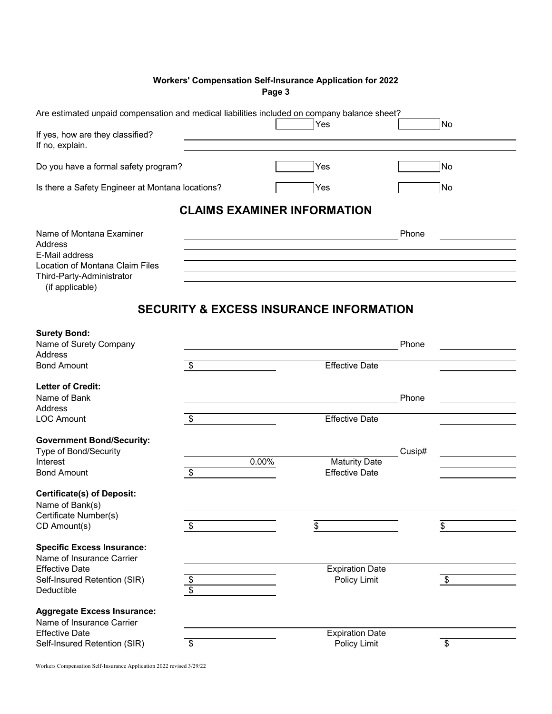### **Workers' Compensation Self-Insurance Application for 2022 Page 3**

| Are estimated unpaid compensation and medical liabilities included on company balance sheet?                                             |                                    |                                                    |        |    |
|------------------------------------------------------------------------------------------------------------------------------------------|------------------------------------|----------------------------------------------------|--------|----|
| If yes, how are they classified?<br>If no, explain.                                                                                      |                                    | Yes                                                |        | No |
|                                                                                                                                          |                                    |                                                    |        |    |
| Do you have a formal safety program?                                                                                                     |                                    | Yes                                                |        | No |
| Is there a Safety Engineer at Montana locations?                                                                                         |                                    | Yes                                                |        | No |
|                                                                                                                                          | <b>CLAIMS EXAMINER INFORMATION</b> |                                                    |        |    |
| Name of Montana Examiner<br>Address<br>E-Mail address<br>Location of Montana Claim Files<br>Third-Party-Administrator<br>(if applicable) |                                    |                                                    | Phone  |    |
|                                                                                                                                          |                                    | <b>SECURITY &amp; EXCESS INSURANCE INFORMATION</b> |        |    |
| <b>Surety Bond:</b><br>Name of Surety Company                                                                                            |                                    |                                                    | Phone  |    |
| Address<br><b>Bond Amount</b>                                                                                                            | \$                                 | Effective Date                                     |        |    |
| <b>Letter of Credit:</b><br>Name of Bank<br>Address                                                                                      |                                    |                                                    | Phone  |    |
| <b>LOC Amount</b>                                                                                                                        | \$                                 | <b>Effective Date</b>                              |        |    |
| <b>Government Bond/Security:</b><br>Type of Bond/Security<br>Interest<br><b>Bond Amount</b>                                              | 0.00%<br>\$                        | <b>Maturity Date</b><br><b>Effective Date</b>      | Cusip# |    |
| <b>Certificate(s) of Deposit:</b><br>Name of Bank(s)<br>Certificate Number(s)                                                            |                                    |                                                    |        |    |
| CD Amount(s)                                                                                                                             | \$                                 | \$                                                 |        | \$ |
| <b>Specific Excess Insurance:</b><br>Name of Insurance Carrier<br><b>Effective Date</b><br>Self-Insured Retention (SIR)<br>Deductible    | \$<br>\$                           | <b>Expiration Date</b><br>Policy Limit             |        | \$ |
| <b>Aggregate Excess Insurance:</b><br>Name of Insurance Carrier<br><b>Effective Date</b>                                                 |                                    | <b>Expiration Date</b>                             |        |    |
| Self-Insured Retention (SIR)                                                                                                             | \$                                 | Policy Limit                                       |        | \$ |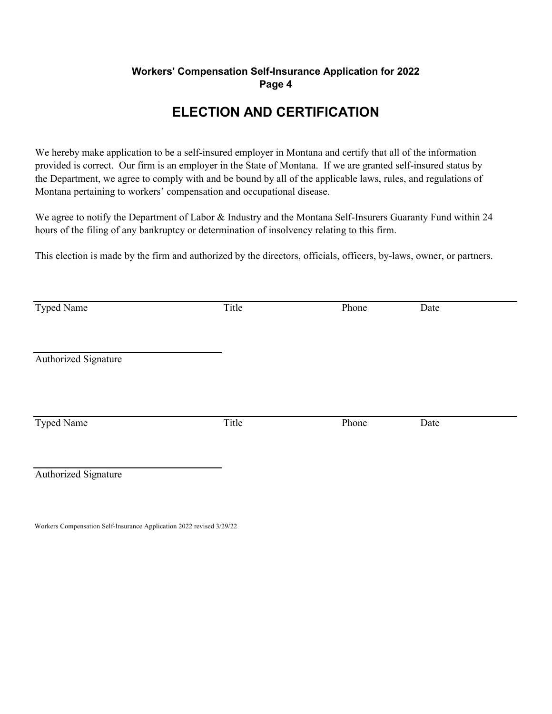## **Workers' Compensation Self-Insurance Application for 2022 Page 4**

# **ELECTION AND CERTIFICATION**

We hereby make application to be a self-insured employer in Montana and certify that all of the information provided is correct. Our firm is an employer in the State of Montana. If we are granted self-insured status by the Department, we agree to comply with and be bound by all of the applicable laws, rules, and regulations of Montana pertaining to workers' compensation and occupational disease.

We agree to notify the Department of Labor & Industry and the Montana Self-Insurers Guaranty Fund within 24 hours of the filing of any bankruptcy or determination of insolvency relating to this firm.

This election is made by the firm and authorized by the directors, officials, officers, by-laws, owner, or partners.

| Typed Name           | Title | Phone | Date |  |
|----------------------|-------|-------|------|--|
| Authorized Signature |       |       |      |  |
| Typed Name           | Title | Phone | Date |  |
| Authorized Signature |       |       |      |  |